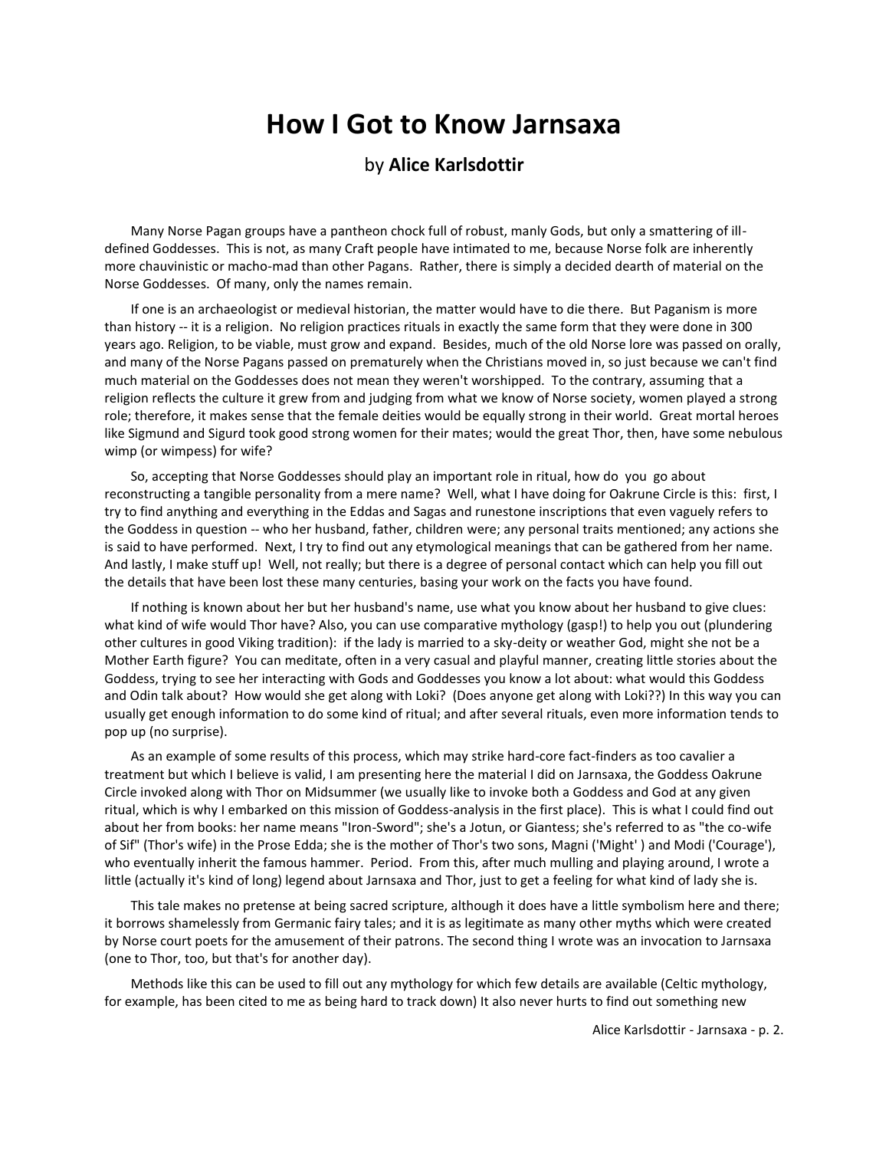# **How I Got to Know Jarnsaxa**

#### by **Alice Karlsdottir**

Many Norse Pagan groups have a pantheon chock full of robust, manly Gods, but only a smattering of illdefined Goddesses. This is not, as many Craft people have intimated to me, because Norse folk are inherently more chauvinistic or macho-mad than other Pagans. Rather, there is simply a decided dearth of material on the Norse Goddesses. Of many, only the names remain.

If one is an archaeologist or medieval historian, the matter would have to die there. But Paganism is more than history -- it is a religion. No religion practices rituals in exactly the same form that they were done in 300 years ago. Religion, to be viable, must grow and expand. Besides, much of the old Norse lore was passed on orally, and many of the Norse Pagans passed on prematurely when the Christians moved in, so just because we can't find much material on the Goddesses does not mean they weren't worshipped. To the contrary, assuming that a religion reflects the culture it grew from and judging from what we know of Norse society, women played a strong role; therefore, it makes sense that the female deities would be equally strong in their world. Great mortal heroes like Sigmund and Sigurd took good strong women for their mates; would the great Thor, then, have some nebulous wimp (or wimpess) for wife?

So, accepting that Norse Goddesses should play an important role in ritual, how do you go about reconstructing a tangible personality from a mere name? Well, what I have doing for Oakrune Circle is this: first, I try to find anything and everything in the Eddas and Sagas and runestone inscriptions that even vaguely refers to the Goddess in question -- who her husband, father, children were; any personal traits mentioned; any actions she is said to have performed. Next, I try to find out any etymological meanings that can be gathered from her name. And lastly, I make stuff up! Well, not really; but there is a degree of personal contact which can help you fill out the details that have been lost these many centuries, basing your work on the facts you have found.

If nothing is known about her but her husband's name, use what you know about her husband to give clues: what kind of wife would Thor have? Also, you can use comparative mythology (gasp!) to help you out (plundering other cultures in good Viking tradition): if the lady is married to a sky-deity or weather God, might she not be a Mother Earth figure? You can meditate, often in a very casual and playful manner, creating little stories about the Goddess, trying to see her interacting with Gods and Goddesses you know a lot about: what would this Goddess and Odin talk about? How would she get along with Loki? (Does anyone get along with Loki??) In this way you can usually get enough information to do some kind of ritual; and after several rituals, even more information tends to pop up (no surprise).

As an example of some results of this process, which may strike hard-core fact-finders as too cavalier a treatment but which I believe is valid, I am presenting here the material I did on Jarnsaxa, the Goddess Oakrune Circle invoked along with Thor on Midsummer (we usually like to invoke both a Goddess and God at any given ritual, which is why I embarked on this mission of Goddess-analysis in the first place). This is what I could find out about her from books: her name means "Iron-Sword"; she's a Jotun, or Giantess; she's referred to as "the co-wife of Sif" (Thor's wife) in the Prose Edda; she is the mother of Thor's two sons, Magni ('Might' ) and Modi ('Courage'), who eventually inherit the famous hammer. Period. From this, after much mulling and playing around, I wrote a little (actually it's kind of long) legend about Jarnsaxa and Thor, just to get a feeling for what kind of lady she is.

This tale makes no pretense at being sacred scripture, although it does have a little symbolism here and there; it borrows shamelessly from Germanic fairy tales; and it is as legitimate as many other myths which were created by Norse court poets for the amusement of their patrons. The second thing I wrote was an invocation to Jarnsaxa (one to Thor, too, but that's for another day).

Methods like this can be used to fill out any mythology for which few details are available (Celtic mythology, for example, has been cited to me as being hard to track down) It also never hurts to find out something new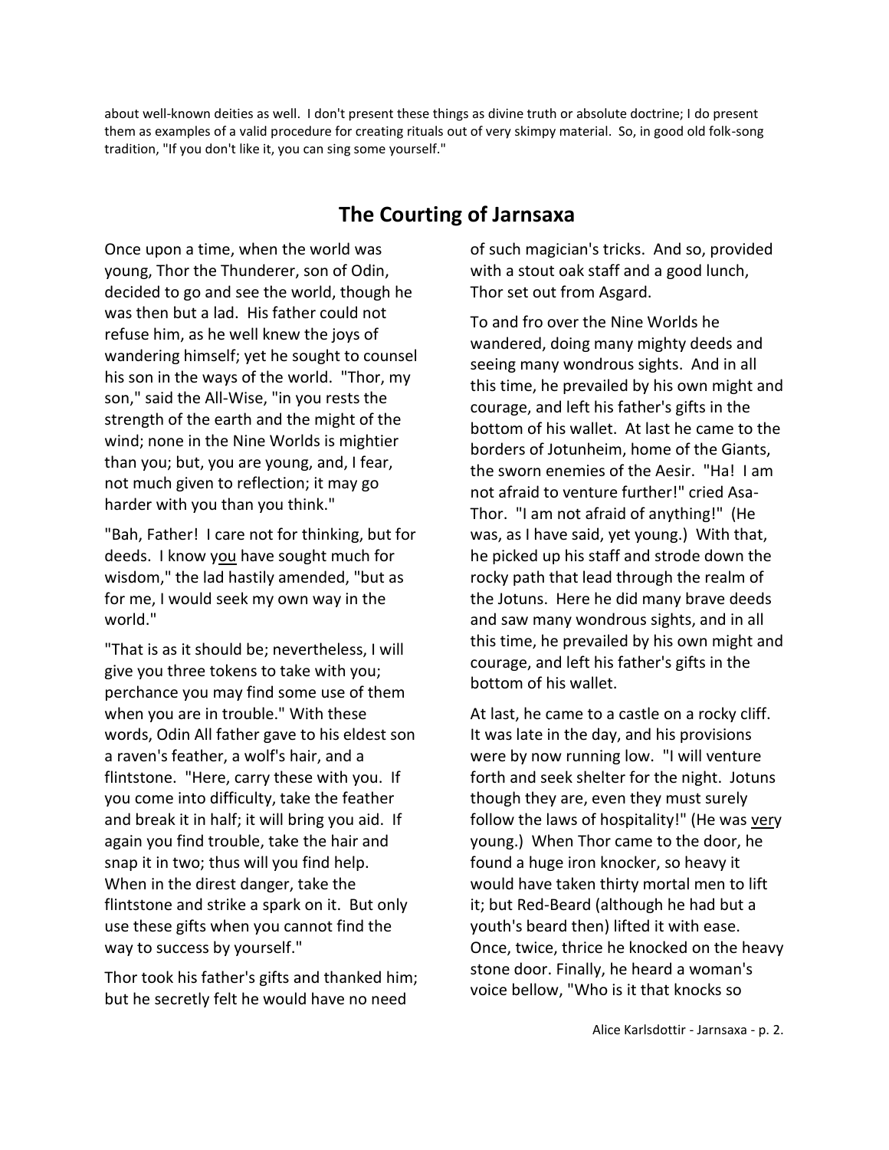about well-known deities as well. I don't present these things as divine truth or absolute doctrine; I do present them as examples of a valid procedure for creating rituals out of very skimpy material. So, in good old folk-song tradition, "If you don't like it, you can sing some yourself."

## **The Courting of Jarnsaxa**

Once upon a time, when the world was young, Thor the Thunderer, son of Odin, decided to go and see the world, though he was then but a lad. His father could not refuse him, as he well knew the joys of wandering himself; yet he sought to counsel his son in the ways of the world. "Thor, my son," said the All-Wise, "in you rests the strength of the earth and the might of the wind; none in the Nine Worlds is mightier than you; but, you are young, and, I fear, not much given to reflection; it may go harder with you than you think."

"Bah, Father! I care not for thinking, but for deeds. I know you have sought much for wisdom," the lad hastily amended, "but as for me, I would seek my own way in the world."

"That is as it should be; nevertheless, I will give you three tokens to take with you; perchance you may find some use of them when you are in trouble." With these words, Odin All father gave to his eldest son a raven's feather, a wolf's hair, and a flintstone. "Here, carry these with you. If you come into difficulty, take the feather and break it in half; it will bring you aid. If again you find trouble, take the hair and snap it in two; thus will you find help. When in the direst danger, take the flintstone and strike a spark on it. But only use these gifts when you cannot find the way to success by yourself."

Thor took his father's gifts and thanked him; but he secretly felt he would have no need

of such magician's tricks. And so, provided with a stout oak staff and a good lunch, Thor set out from Asgard.

To and fro over the Nine Worlds he wandered, doing many mighty deeds and seeing many wondrous sights. And in all this time, he prevailed by his own might and courage, and left his father's gifts in the bottom of his wallet. At last he came to the borders of Jotunheim, home of the Giants, the sworn enemies of the Aesir. "Ha! I am not afraid to venture further!" cried Asa-Thor. "I am not afraid of anything!" (He was, as I have said, yet young.) With that, he picked up his staff and strode down the rocky path that lead through the realm of the Jotuns. Here he did many brave deeds and saw many wondrous sights, and in all this time, he prevailed by his own might and courage, and left his father's gifts in the bottom of his wallet.

At last, he came to a castle on a rocky cliff. It was late in the day, and his provisions were by now running low. "I will venture forth and seek shelter for the night. Jotuns though they are, even they must surely follow the laws of hospitality!" (He was very young.) When Thor came to the door, he found a huge iron knocker, so heavy it would have taken thirty mortal men to lift it; but Red-Beard (although he had but a youth's beard then) lifted it with ease. Once, twice, thrice he knocked on the heavy stone door. Finally, he heard a woman's voice bellow, "Who is it that knocks so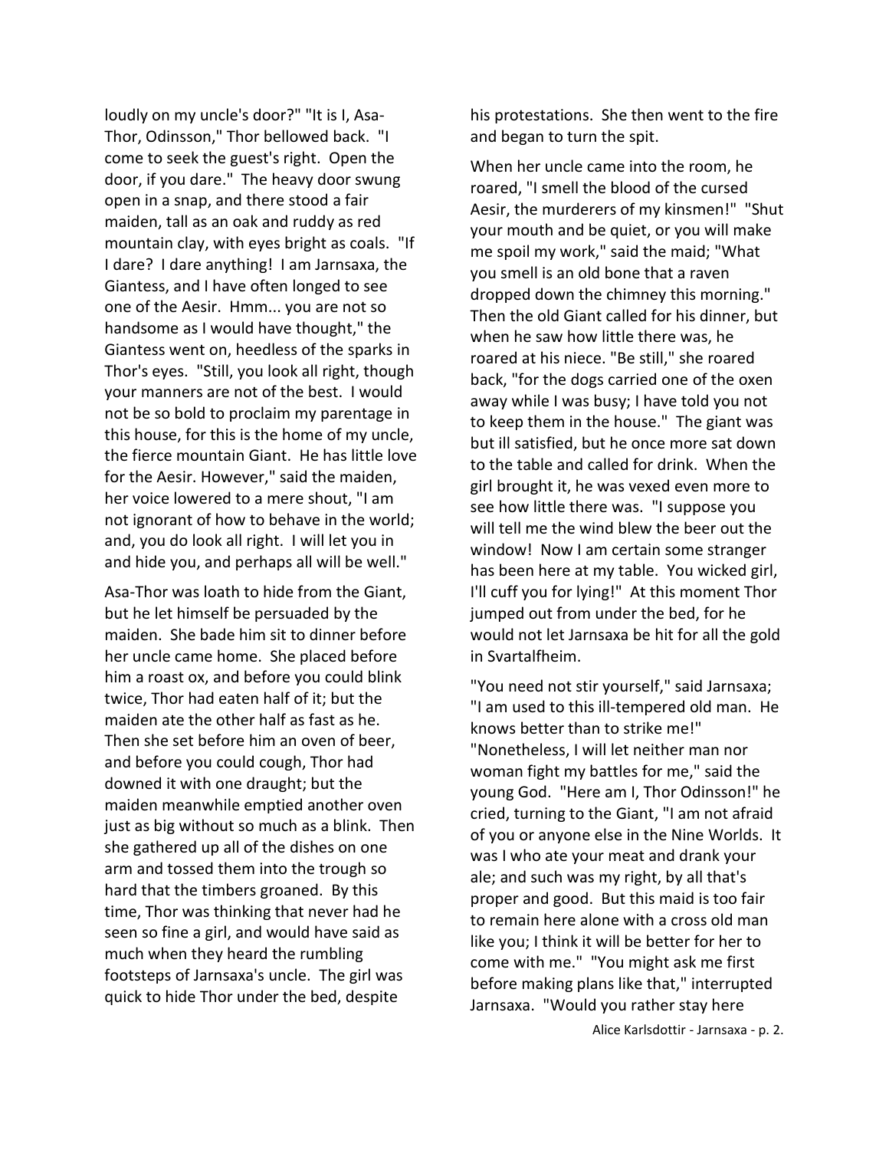loudly on my uncle's door?" "It is I, Asa-Thor, Odinsson," Thor bellowed back. "I come to seek the guest's right. Open the door, if you dare." The heavy door swung open in a snap, and there stood a fair maiden, tall as an oak and ruddy as red mountain clay, with eyes bright as coals. "If I dare? I dare anything! I am Jarnsaxa, the Giantess, and I have often longed to see one of the Aesir. Hmm... you are not so handsome as I would have thought," the Giantess went on, heedless of the sparks in Thor's eyes. "Still, you look all right, though your manners are not of the best. I would not be so bold to proclaim my parentage in this house, for this is the home of my uncle, the fierce mountain Giant. He has little love for the Aesir. However," said the maiden, her voice lowered to a mere shout, "I am not ignorant of how to behave in the world; and, you do look all right. I will let you in and hide you, and perhaps all will be well."

Asa-Thor was loath to hide from the Giant, but he let himself be persuaded by the maiden. She bade him sit to dinner before her uncle came home. She placed before him a roast ox, and before you could blink twice, Thor had eaten half of it; but the maiden ate the other half as fast as he. Then she set before him an oven of beer, and before you could cough, Thor had downed it with one draught; but the maiden meanwhile emptied another oven just as big without so much as a blink. Then she gathered up all of the dishes on one arm and tossed them into the trough so hard that the timbers groaned. By this time, Thor was thinking that never had he seen so fine a girl, and would have said as much when they heard the rumbling footsteps of Jarnsaxa's uncle. The girl was quick to hide Thor under the bed, despite

his protestations. She then went to the fire and began to turn the spit.

When her uncle came into the room, he roared, "I smell the blood of the cursed Aesir, the murderers of my kinsmen!" "Shut your mouth and be quiet, or you will make me spoil my work," said the maid; "What you smell is an old bone that a raven dropped down the chimney this morning." Then the old Giant called for his dinner, but when he saw how little there was, he roared at his niece. "Be still," she roared back, "for the dogs carried one of the oxen away while I was busy; I have told you not to keep them in the house." The giant was but ill satisfied, but he once more sat down to the table and called for drink. When the girl brought it, he was vexed even more to see how little there was. "I suppose you will tell me the wind blew the beer out the window! Now I am certain some stranger has been here at my table. You wicked girl, I'll cuff you for lying!" At this moment Thor jumped out from under the bed, for he would not let Jarnsaxa be hit for all the gold in Svartalfheim.

"You need not stir yourself," said Jarnsaxa; "I am used to this ill-tempered old man. He knows better than to strike me!" "Nonetheless, I will let neither man nor woman fight my battles for me," said the young God. "Here am I, Thor Odinsson!" he cried, turning to the Giant, "I am not afraid of you or anyone else in the Nine Worlds. It was I who ate your meat and drank your ale; and such was my right, by all that's proper and good. But this maid is too fair to remain here alone with a cross old man like you; I think it will be better for her to come with me." "You might ask me first before making plans like that," interrupted Jarnsaxa. "Would you rather stay here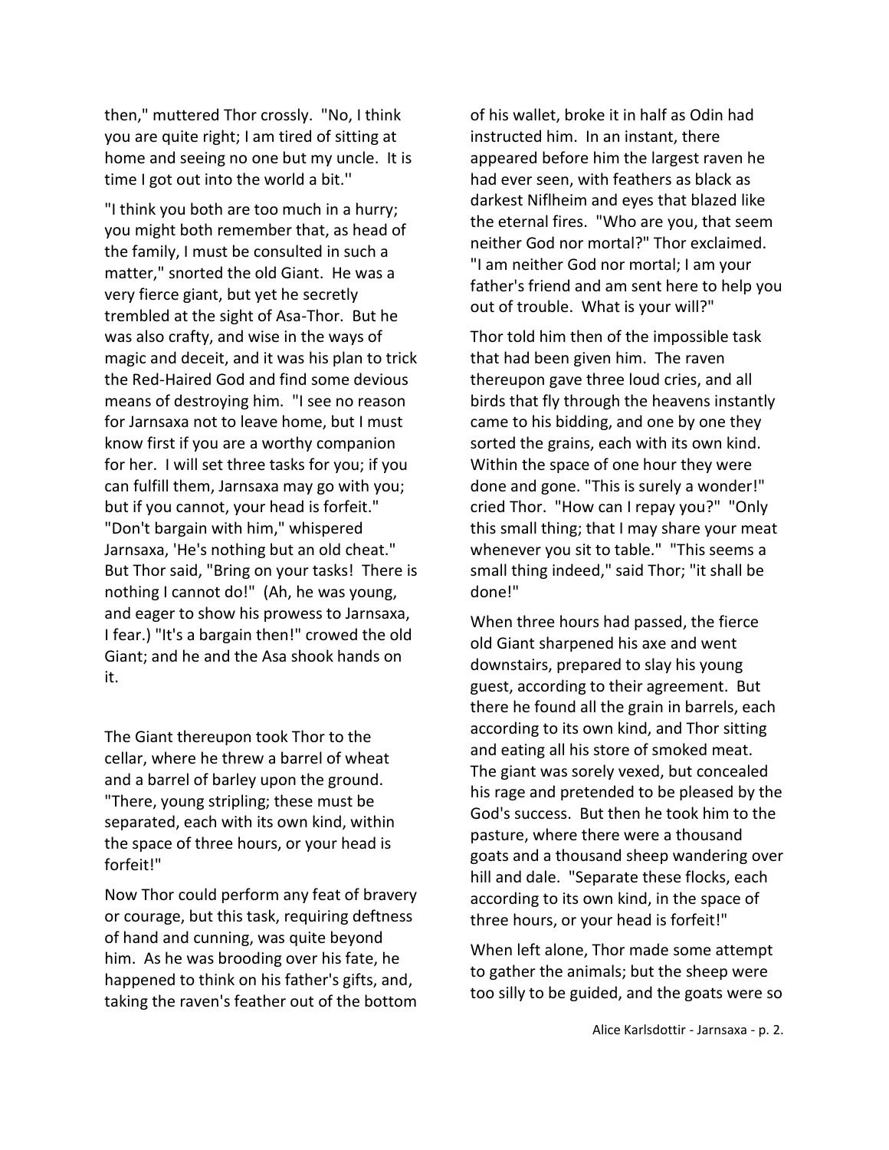then," muttered Thor crossly. "No, I think you are quite right; I am tired of sitting at home and seeing no one but my uncle. It is time I got out into the world a bit.''

"I think you both are too much in a hurry; you might both remember that, as head of the family, I must be consulted in such a matter," snorted the old Giant. He was a very fierce giant, but yet he secretly trembled at the sight of Asa-Thor. But he was also crafty, and wise in the ways of magic and deceit, and it was his plan to trick the Red-Haired God and find some devious means of destroying him. "I see no reason for Jarnsaxa not to leave home, but I must know first if you are a worthy companion for her. I will set three tasks for you; if you can fulfill them, Jarnsaxa may go with you; but if you cannot, your head is forfeit." "Don't bargain with him," whispered Jarnsaxa, 'He's nothing but an old cheat." But Thor said, "Bring on your tasks! There is nothing I cannot do!" (Ah, he was young, and eager to show his prowess to Jarnsaxa, I fear.) "It's a bargain then!" crowed the old Giant; and he and the Asa shook hands on it.

The Giant thereupon took Thor to the cellar, where he threw a barrel of wheat and a barrel of barley upon the ground. "There, young stripling; these must be separated, each with its own kind, within the space of three hours, or your head is forfeit!"

Now Thor could perform any feat of bravery or courage, but this task, requiring deftness of hand and cunning, was quite beyond him. As he was brooding over his fate, he happened to think on his father's gifts, and, taking the raven's feather out of the bottom

of his wallet, broke it in half as Odin had instructed him. In an instant, there appeared before him the largest raven he had ever seen, with feathers as black as darkest Niflheim and eyes that blazed like the eternal fires. "Who are you, that seem neither God nor mortal?" Thor exclaimed. "I am neither God nor mortal; I am your father's friend and am sent here to help you out of trouble. What is your will?"

Thor told him then of the impossible task that had been given him. The raven thereupon gave three loud cries, and all birds that fly through the heavens instantly came to his bidding, and one by one they sorted the grains, each with its own kind. Within the space of one hour they were done and gone. "This is surely a wonder!" cried Thor. "How can I repay you?" "Only this small thing; that I may share your meat whenever you sit to table." "This seems a small thing indeed," said Thor; "it shall be done!"

When three hours had passed, the fierce old Giant sharpened his axe and went downstairs, prepared to slay his young guest, according to their agreement. But there he found all the grain in barrels, each according to its own kind, and Thor sitting and eating all his store of smoked meat. The giant was sorely vexed, but concealed his rage and pretended to be pleased by the God's success. But then he took him to the pasture, where there were a thousand goats and a thousand sheep wandering over hill and dale. "Separate these flocks, each according to its own kind, in the space of three hours, or your head is forfeit!"

When left alone, Thor made some attempt to gather the animals; but the sheep were too silly to be guided, and the goats were so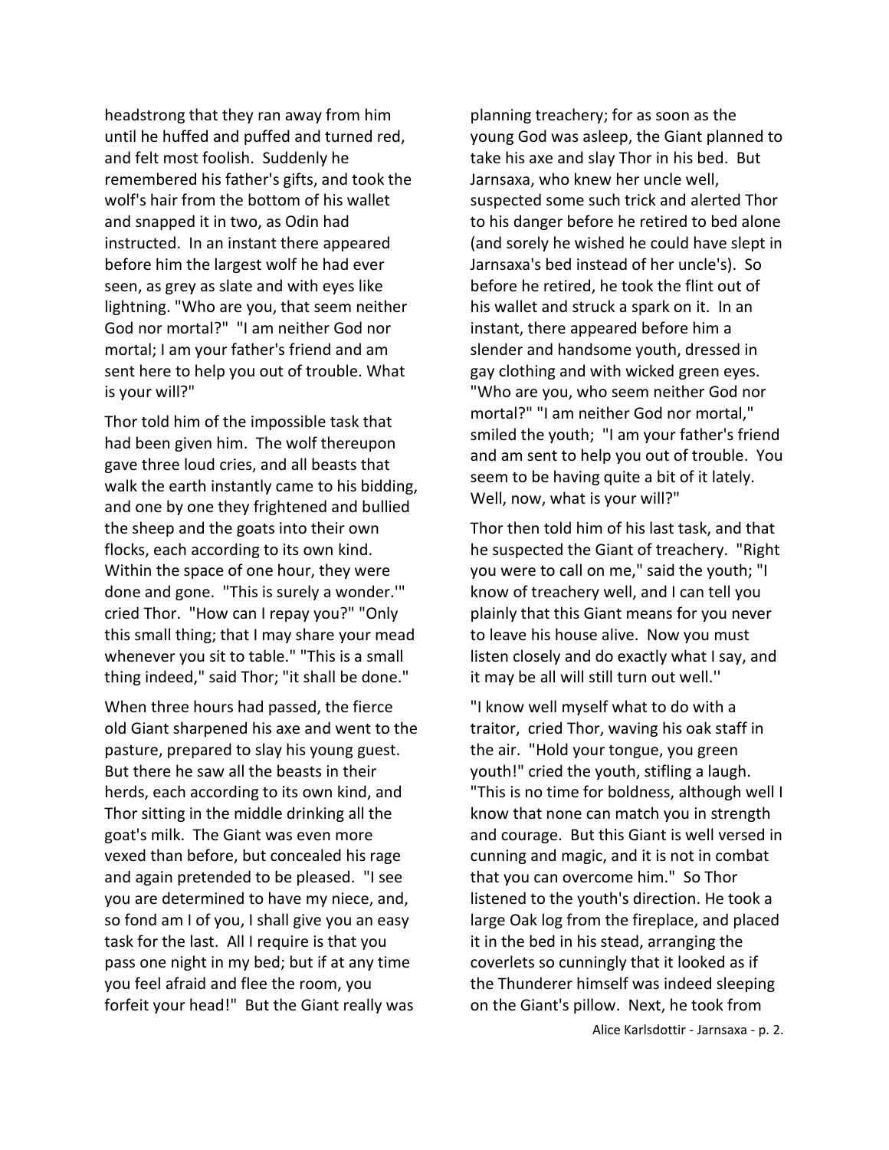headstrong that they ran away from him until he huffed and puffed and turned red, and felt most foolish. Suddenly he remembered his father's gifts, and took the wolf's hair from the bottom of his wallet and snapped it in two, as Odin had instructed. In an instant there appeared before him the largest wolf he had ever seen, as grey as slate and with eyes like lightning. "Who are you, that seem neither God nor mortal?" "I am neither God nor mortal; I am your father's friend and am sent here to help you out of trouble. What is your will?"

Thor told him of the impossible task that had been given him. The wolf thereupon gave three loud cries, and all beasts that walk the earth instantly came to his bidding, and one by one they frightened and bullied the sheep and the goats into their own flocks, each according to its own kind. Within the space of one hour, they were done and gone. "This is surely a wonder.'" cried Thor. "How can I repay you?" "Only this small thing; that I may share your mead whenever you sit to table." "This is a small thing indeed," said Thor; "it shall be done."

When three hours had passed, the fierce old Giant sharpened his axe and went to the pasture, prepared to slay his young guest. But there he saw all the beasts in their herds, each according to its own kind, and Thor sitting in the middle drinking all the goat's milk. The Giant was even more vexed than before, but concealed his rage and again pretended to be pleased. "I see you are determined to have my niece, and, so fond am I of you, I shall give you an easy task for the last. All I require is that you pass one night in my bed; but if at any time you feel afraid and flee the room, you forfeit your head!" But the Giant really was

planning treachery; for as soon as the young God was asleep, the Giant planned to take his axe and slay Thor in his bed. But Jarnsaxa, who knew her uncle well, suspected some such trick and alerted Thor to his danger before he retired to bed alone (and sorely he wished he could have slept in Jarnsaxa's bed instead of her uncle's). So before he retired, he took the flint out of his wallet and struck a spark on it. In an instant, there appeared before him a slender and handsome youth, dressed in gay clothing and with wicked green eyes. "Who are you, who seem neither God nor mortal?" "I am neither God nor mortal," smiled the youth; "I am your father's friend and am sent to help you out of trouble. You seem to be having quite a bit of it lately. Well, now, what is your will?"

Thor then told him of his last task, and that he suspected the Giant of treachery. "Right you were to call on me," said the youth; "I know of treachery well, and I can tell you plainly that this Giant means for you never to leave his house alive. Now you must listen closely and do exactly what I say, and it may be all will still turn out well.''

"I know well myself what to do with a traitor, cried Thor, waving his oak staff in the air. "Hold your tongue, you green youth!" cried the youth, stifling a laugh. "This is no time for boldness, although well I know that none can match you in strength and courage. But this Giant is well versed in cunning and magic, and it is not in combat that you can overcome him." So Thor listened to the youth's direction. He took a large Oak log from the fireplace, and placed it in the bed in his stead, arranging the coverlets so cunningly that it looked as if the Thunderer himself was indeed sleeping on the Giant's pillow. Next, he took from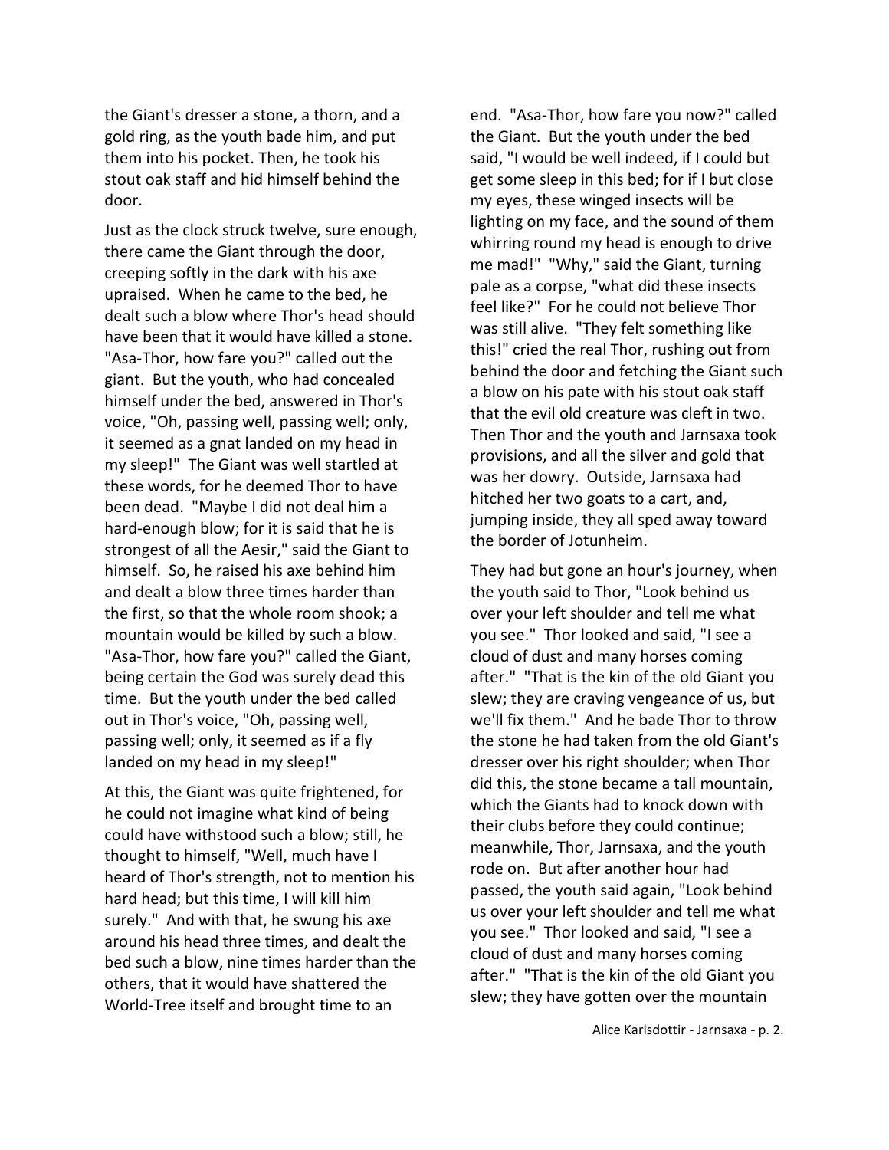the Giant's dresser a stone, a thorn, and a gold ring, as the youth bade him, and put them into his pocket. Then, he took his stout oak staff and hid himself behind the door.

Just as the clock struck twelve, sure enough, there came the Giant through the door, creeping softly in the dark with his axe upraised. When he came to the bed, he dealt such a blow where Thor's head should have been that it would have killed a stone. "Asa-Thor, how fare you?" called out the giant. But the youth, who had concealed himself under the bed, answered in Thor's voice, "Oh, passing well, passing well; only, it seemed as a gnat landed on my head in my sleep!" The Giant was well startled at these words, for he deemed Thor to have been dead. "Maybe I did not deal him a hard-enough blow; for it is said that he is strongest of all the Aesir," said the Giant to himself. So, he raised his axe behind him and dealt a blow three times harder than the first, so that the whole room shook; a mountain would be killed by such a blow. "Asa-Thor, how fare you?" called the Giant, being certain the God was surely dead this time. But the youth under the bed called out in Thor's voice, "Oh, passing well, passing well; only, it seemed as if a fly landed on my head in my sleep!"

At this, the Giant was quite frightened, for he could not imagine what kind of being could have withstood such a blow; still, he thought to himself, "Well, much have I heard of Thor's strength, not to mention his hard head; but this time, I will kill him surely." And with that, he swung his axe around his head three times, and dealt the bed such a blow, nine times harder than the others, that it would have shattered the World-Tree itself and brought time to an

end. "Asa-Thor, how fare you now?" called the Giant. But the youth under the bed said, "I would be well indeed, if I could but get some sleep in this bed; for if I but close my eyes, these winged insects will be lighting on my face, and the sound of them whirring round my head is enough to drive me mad!" "Why," said the Giant, turning pale as a corpse, "what did these insects feel like?" For he could not believe Thor was still alive. "They felt something like this!" cried the real Thor, rushing out from behind the door and fetching the Giant such a blow on his pate with his stout oak staff that the evil old creature was cleft in two. Then Thor and the youth and Jarnsaxa took provisions, and all the silver and gold that was her dowry. Outside, Jarnsaxa had hitched her two goats to a cart, and, jumping inside, they all sped away toward the border of Jotunheim.

They had but gone an hour's journey, when the youth said to Thor, "Look behind us over your left shoulder and tell me what you see." Thor looked and said, "I see a cloud of dust and many horses coming after." "That is the kin of the old Giant you slew; they are craving vengeance of us, but we'll fix them." And he bade Thor to throw the stone he had taken from the old Giant's dresser over his right shoulder; when Thor did this, the stone became a tall mountain, which the Giants had to knock down with their clubs before they could continue; meanwhile, Thor, Jarnsaxa, and the youth rode on. But after another hour had passed, the youth said again, "Look behind us over your left shoulder and tell me what you see." Thor looked and said, "I see a cloud of dust and many horses coming after." "That is the kin of the old Giant you slew; they have gotten over the mountain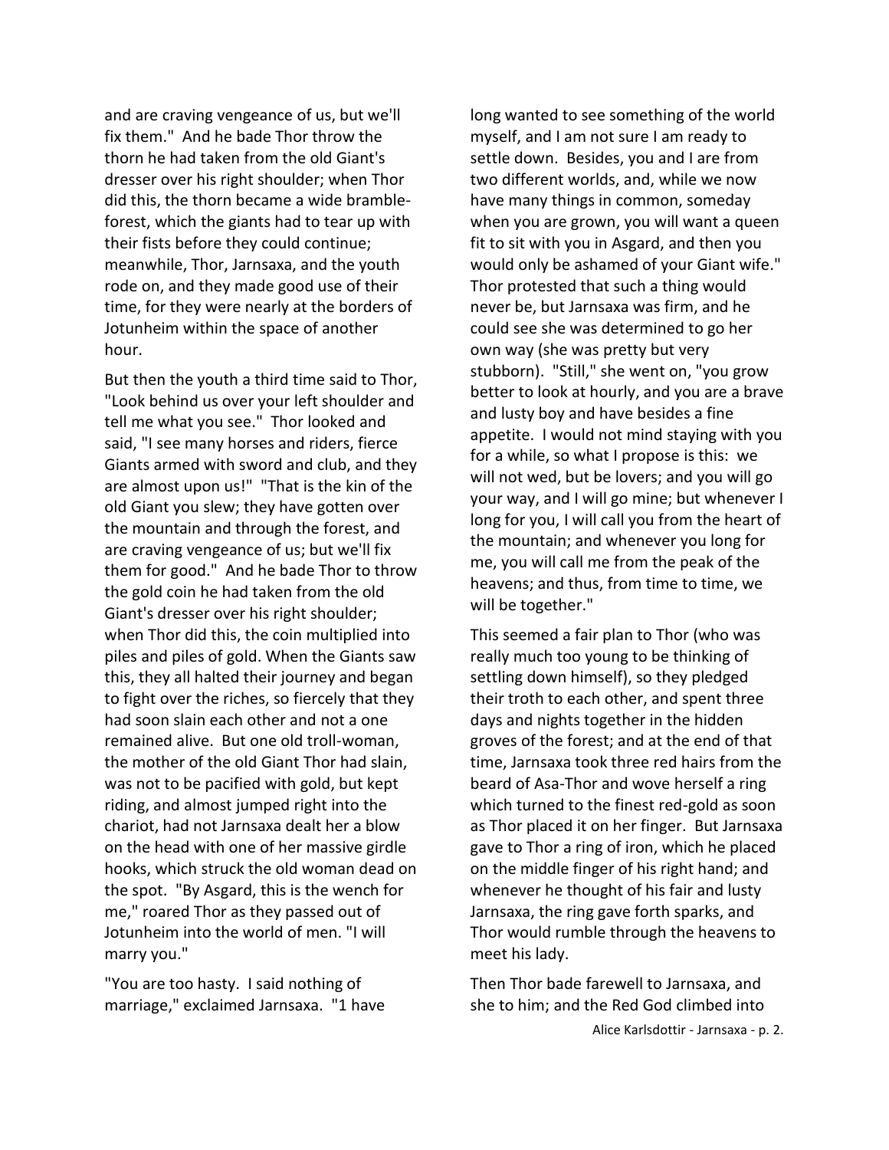and are craving vengeance of us, but we'll fix them." And he bade Thor throw the thorn he had taken from the old Giant's dresser over his right shoulder; when Thor did this, the thorn became a wide brambleforest, which the giants had to tear up with their fists before they could continue; meanwhile, Thor, Jarnsaxa, and the youth rode on, and they made good use of their time, for they were nearly at the borders of Jotunheim within the space of another hour.

But then the youth a third time said to Thor, "Look behind us over your left shoulder and tell me what you see." Thor looked and said, "I see many horses and riders, fierce Giants armed with sword and club, and they are almost upon us!" "That is the kin of the old Giant you slew; they have gotten over the mountain and through the forest, and are craving vengeance of us; but we'll fix them for good." And he bade Thor to throw the gold coin he had taken from the old Giant's dresser over his right shoulder; when Thor did this, the coin multiplied into piles and piles of gold. When the Giants saw this, they all halted their journey and began to fight over the riches, so fiercely that they had soon slain each other and not a one remained alive. But one old troll-woman, the mother of the old Giant Thor had slain, was not to be pacified with gold, but kept riding, and almost jumped right into the chariot, had not Jarnsaxa dealt her a blow on the head with one of her massive girdle hooks, which struck the old woman dead on the spot. "By Asgard, this is the wench for me," roared Thor as they passed out of Jotunheim into the world of men. "I will marry you."

"You are too hasty. I said nothing of marriage," exclaimed Jarnsaxa. "1 have long wanted to see something of the world myself, and I am not sure I am ready to settle down. Besides, you and I are from two different worlds, and, while we now have many things in common, someday when you are grown, you will want a queen fit to sit with you in Asgard, and then you would only be ashamed of your Giant wife." Thor protested that such a thing would never be, but Jarnsaxa was firm, and he could see she was determined to go her own way (she was pretty but very stubborn). "Still," she went on, "you grow better to look at hourly, and you are a brave and lusty boy and have besides a fine appetite. I would not mind staying with you for a while, so what I propose is this: we will not wed, but be lovers; and you will go your way, and I will go mine; but whenever I long for you, I will call you from the heart of the mountain; and whenever you long for me, you will call me from the peak of the heavens; and thus, from time to time, we will be together."

This seemed a fair plan to Thor (who was really much too young to be thinking of settling down himself), so they pledged their troth to each other, and spent three days and nights together in the hidden groves of the forest; and at the end of that time, Jarnsaxa took three red hairs from the beard of Asa-Thor and wove herself a ring which turned to the finest red-gold as soon as Thor placed it on her finger. But Jarnsaxa gave to Thor a ring of iron, which he placed on the middle finger of his right hand; and whenever he thought of his fair and lusty Jarnsaxa, the ring gave forth sparks, and Thor would rumble through the heavens to meet his lady.

Then Thor bade farewell to Jarnsaxa, and she to him; and the Red God climbed into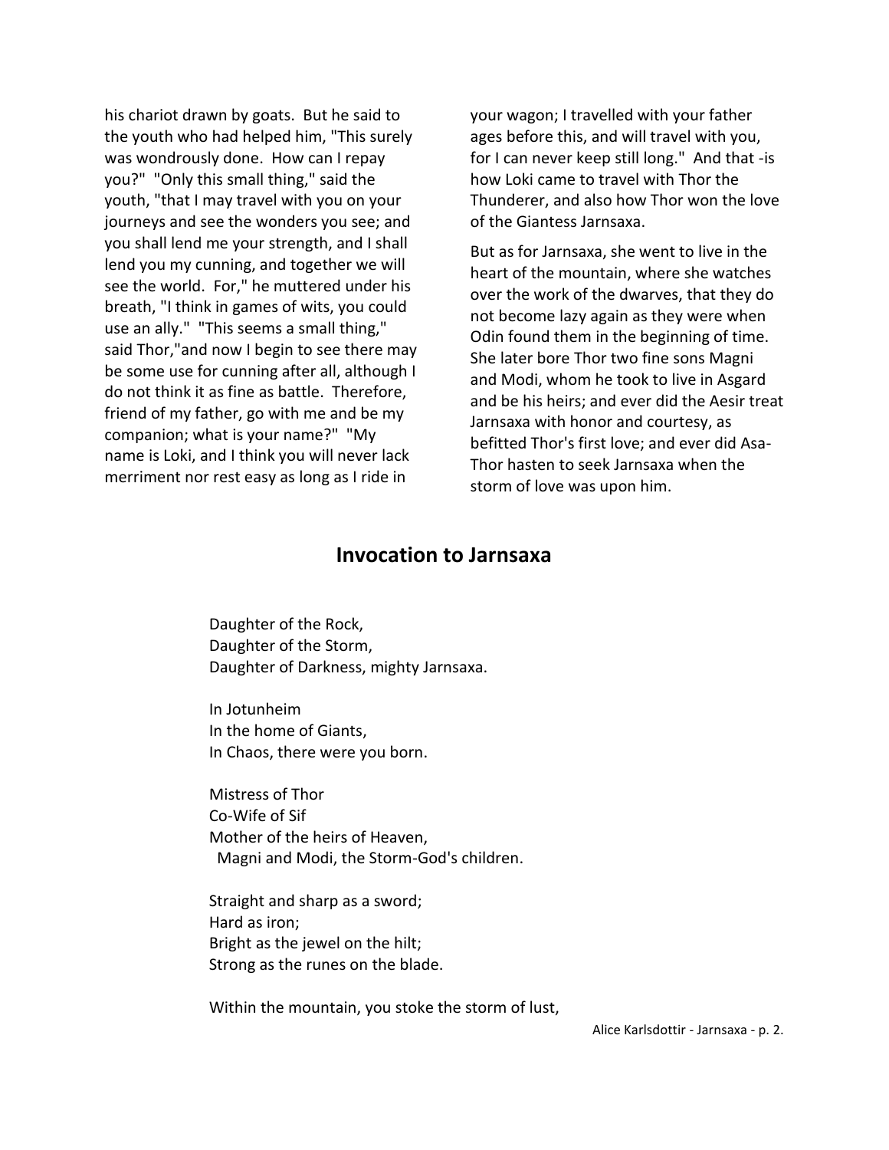his chariot drawn by goats. But he said to the youth who had helped him, "This surely was wondrously done. How can I repay you?" "Only this small thing," said the youth, "that I may travel with you on your journeys and see the wonders you see; and you shall lend me your strength, and I shall lend you my cunning, and together we will see the world. For," he muttered under his breath, "I think in games of wits, you could use an ally." "This seems a small thing," said Thor,"and now I begin to see there may be some use for cunning after all, although I do not think it as fine as battle. Therefore, friend of my father, go with me and be my companion; what is your name?" "My name is Loki, and I think you will never lack merriment nor rest easy as long as I ride in

your wagon; I travelled with your father ages before this, and will travel with you, for I can never keep still long." And that -is how Loki came to travel with Thor the Thunderer, and also how Thor won the love of the Giantess Jarnsaxa.

But as for Jarnsaxa, she went to live in the heart of the mountain, where she watches over the work of the dwarves, that they do not become lazy again as they were when Odin found them in the beginning of time. She later bore Thor two fine sons Magni and Modi, whom he took to live in Asgard and be his heirs; and ever did the Aesir treat Jarnsaxa with honor and courtesy, as befitted Thor's first love; and ever did Asa-Thor hasten to seek Jarnsaxa when the storm of love was upon him.

### **Invocation to Jarnsaxa**

Daughter of the Rock, Daughter of the Storm, Daughter of Darkness, mighty Jarnsaxa.

In Jotunheim In the home of Giants, In Chaos, there were you born.

Mistress of Thor Co-Wife of Sif Mother of the heirs of Heaven, Magni and Modi, the Storm-God's children.

Straight and sharp as a sword; Hard as iron; Bright as the jewel on the hilt; Strong as the runes on the blade.

Within the mountain, you stoke the storm of lust,